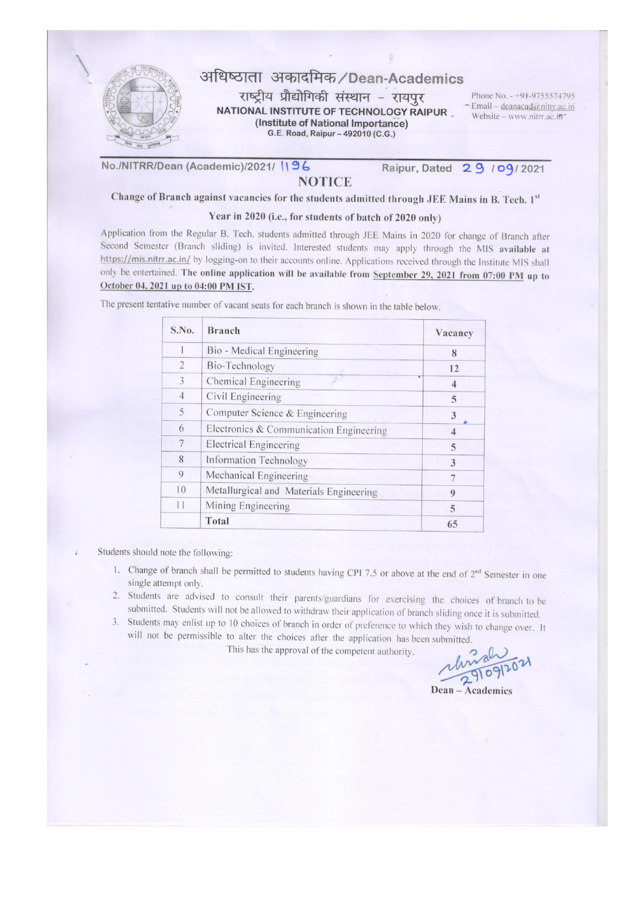

No./NITRR/Dean (Academic)/2021/ 196

# **NOTICE**

Raipur, Dated 29 / 09/2021

Change of Branch against vacancies for the students admitted through JEE Mains in B. Tech. 1st

### Year in 2020 (i.e., for students of batch of 2020 only)

Application from the Regular B. Tech. students admitted through JEE Mains in 2020 for change of Branch after Second Semester (Branch sliding) is invited. Interested students may apply through the MIS available at https://mis.nitrr.ac.in/ by logging-on to their accounts online. Applications received through the Institute MIS shall only be entertained. The online application will be available from September 29, 2021 from 07:00 PM up to October 04, 2021 up to 04:00 PM IST.

| S.No.          | <b>Branch</b>                           | Vacancy |
|----------------|-----------------------------------------|---------|
|                | Bio - Medical Engineering               | 8       |
| $\overline{2}$ | Bio-Technology                          | 12      |
| 3              | Chemical Engineering                    | 4       |
| $\overline{4}$ | Civil Engineering                       | 5       |
| 5              | Computer Science & Engineering          | 3       |
| 6              | Electronics & Communication Engineering |         |
| 7              | <b>Electrical Engineering</b>           | 5       |
| 8              | Information Technology                  | 3       |
| 9              | Mechanical Engineering                  |         |
| 10             | Metallurgical and Materials Engineering | 0       |
| 11             | Mining Engineering                      | 5       |
|                | Total                                   | 65      |

The present tentative number of vacant seats for each branch is shown in the table below.

Students should note the following:

ū

- 1. Change of branch shall be permitted to students having CPI 7.5 or above at the end of 2<sup>nd</sup> Semester in one single attempt only.
- 2. Students are advised to consult their parents/guardians for exercising the choices of branch to be submitted. Students will not be allowed to withdraw their application of branch sliding once it is submitted.
- 3. Students may enlist up to 10 choices of branch in order of preference to which they wish to change over. It will not be permissible to alter the choices after the application has been submitted.

This has the approval of the competent authority.

9109120

### Dean - Academics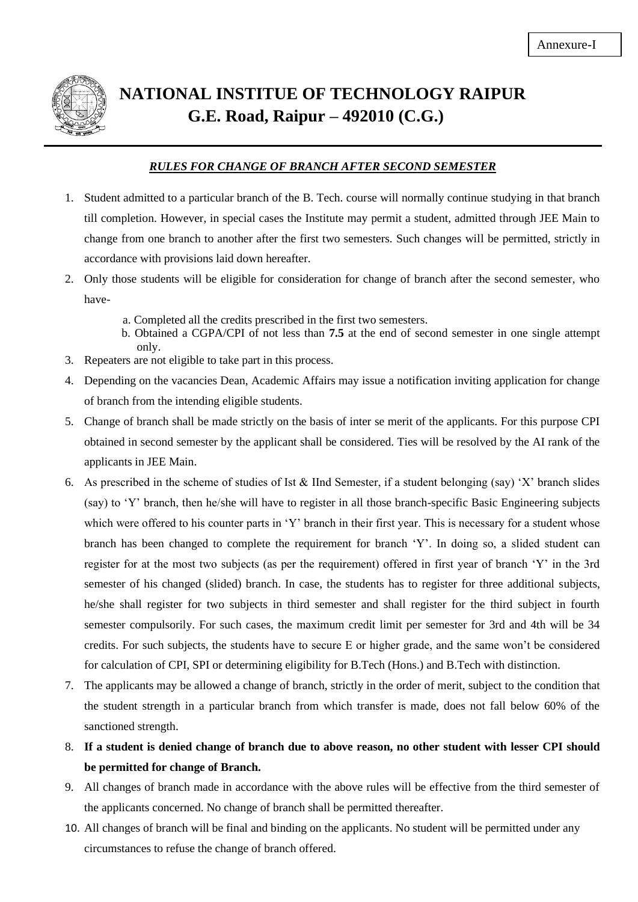

# **NATIONAL INSTITUE OF TECHNOLOGY RAIPUR G.E. Road, Raipur – 492010 (C.G.)**

# *RULES FOR CHANGE OF BRANCH AFTER SECOND SEMESTER*

- 1. Student admitted to a particular branch of the B. Tech. course will normally continue studying in that branch till completion. However, in special cases the Institute may permit a student, admitted through JEE Main to change from one branch to another after the first two semesters. Such changes will be permitted, strictly in accordance with provisions laid down hereafter.
- 2. Only those students will be eligible for consideration for change of branch after the second semester, who have
	- a. Completed all the credits prescribed in the first two semesters.
	- b. Obtained a CGPA/CPI of not less than **7.5** at the end of second semester in one single attempt only.
- 3. Repeaters are not eligible to take part in this process.
- 4. Depending on the vacancies Dean, Academic Affairs may issue a notification inviting application for change of branch from the intending eligible students.
- 5. Change of branch shall be made strictly on the basis of inter se merit of the applicants. For this purpose CPI obtained in second semester by the applicant shall be considered. Ties will be resolved by the AI rank of the applicants in JEE Main.
- 6. As prescribed in the scheme of studies of Ist & IInd Semester, if a student belonging (say) 'X' branch slides (say) to 'Y' branch, then he/she will have to register in all those branch-specific Basic Engineering subjects which were offered to his counter parts in 'Y' branch in their first year. This is necessary for a student whose branch has been changed to complete the requirement for branch 'Y'. In doing so, a slided student can register for at the most two subjects (as per the requirement) offered in first year of branch 'Y' in the 3rd semester of his changed (slided) branch. In case, the students has to register for three additional subjects, he/she shall register for two subjects in third semester and shall register for the third subject in fourth semester compulsorily. For such cases, the maximum credit limit per semester for 3rd and 4th will be 34 credits. For such subjects, the students have to secure E or higher grade, and the same won't be considered for calculation of CPI, SPI or determining eligibility for B.Tech (Hons.) and B.Tech with distinction.
- 7. The applicants may be allowed a change of branch, strictly in the order of merit, subject to the condition that the student strength in a particular branch from which transfer is made, does not fall below 60% of the sanctioned strength.
- 8. **If a student is denied change of branch due to above reason, no other student with lesser CPI should be permitted for change of Branch.**
- 9. All changes of branch made in accordance with the above rules will be effective from the third semester of the applicants concerned. No change of branch shall be permitted thereafter.
- 10. All changes of branch will be final and binding on the applicants. No student will be permitted under any circumstances to refuse the change of branch offered.